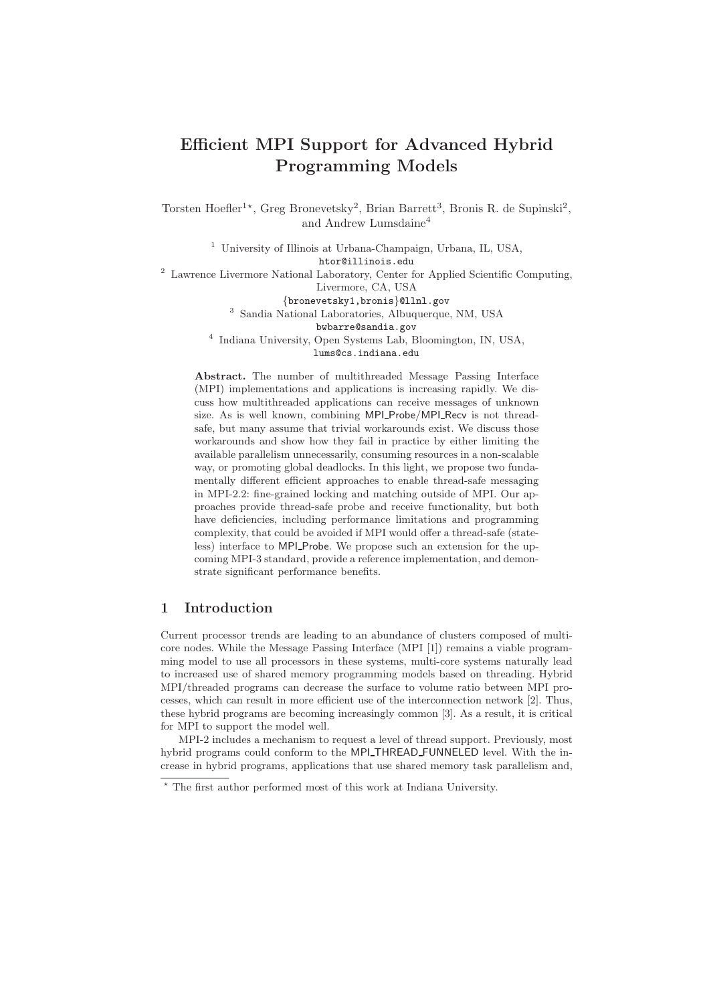# Efficient MPI Support for Advanced Hybrid Programming Models

Torsten Hoefler<sup>1\*</sup>, Greg Bronevetsky<sup>2</sup>, Brian Barrett<sup>3</sup>, Bronis R. de Supinski<sup>2</sup>, and Andrew Lumsdaine<sup>4</sup>

<sup>1</sup> University of Illinois at Urbana-Champaign, Urbana, IL, USA, htor@illinois.edu <sup>2</sup> Lawrence Livermore National Laboratory, Center for Applied Scientific Computing, Livermore, CA, USA {bronevetsky1,bronis}@llnl.gov 3 Sandia National Laboratories, Albuquerque, NM, USA bwbarre@sandia.gov 4 Indiana University, Open Systems Lab, Bloomington, IN, USA,

lums@cs.indiana.edu

Abstract. The number of multithreaded Message Passing Interface (MPI) implementations and applications is increasing rapidly. We discuss how multithreaded applications can receive messages of unknown size. As is well known, combining MPI Probe/MPI Recv is not threadsafe, but many assume that trivial workarounds exist. We discuss those workarounds and show how they fail in practice by either limiting the available parallelism unnecessarily, consuming resources in a non-scalable way, or promoting global deadlocks. In this light, we propose two fundamentally different efficient approaches to enable thread-safe messaging in MPI-2.2: fine-grained locking and matching outside of MPI. Our approaches provide thread-safe probe and receive functionality, but both have deficiencies, including performance limitations and programming complexity, that could be avoided if MPI would offer a thread-safe (stateless) interface to MPI Probe. We propose such an extension for the upcoming MPI-3 standard, provide a reference implementation, and demonstrate significant performance benefits.

# 1 Introduction

Current processor trends are leading to an abundance of clusters composed of multicore nodes. While the Message Passing Interface (MPI [1]) remains a viable programming model to use all processors in these systems, multi-core systems naturally lead to increased use of shared memory programming models based on threading. Hybrid MPI/threaded programs can decrease the surface to volume ratio between MPI processes, which can result in more efficient use of the interconnection network [2]. Thus, these hybrid programs are becoming increasingly common [3]. As a result, it is critical for MPI to support the model well.

MPI-2 includes a mechanism to request a level of thread support. Previously, most hybrid programs could conform to the MPI THREAD FUNNELED level. With the increase in hybrid programs, applications that use shared memory task parallelism and,

<sup>⋆</sup> The first author performed most of this work at Indiana University.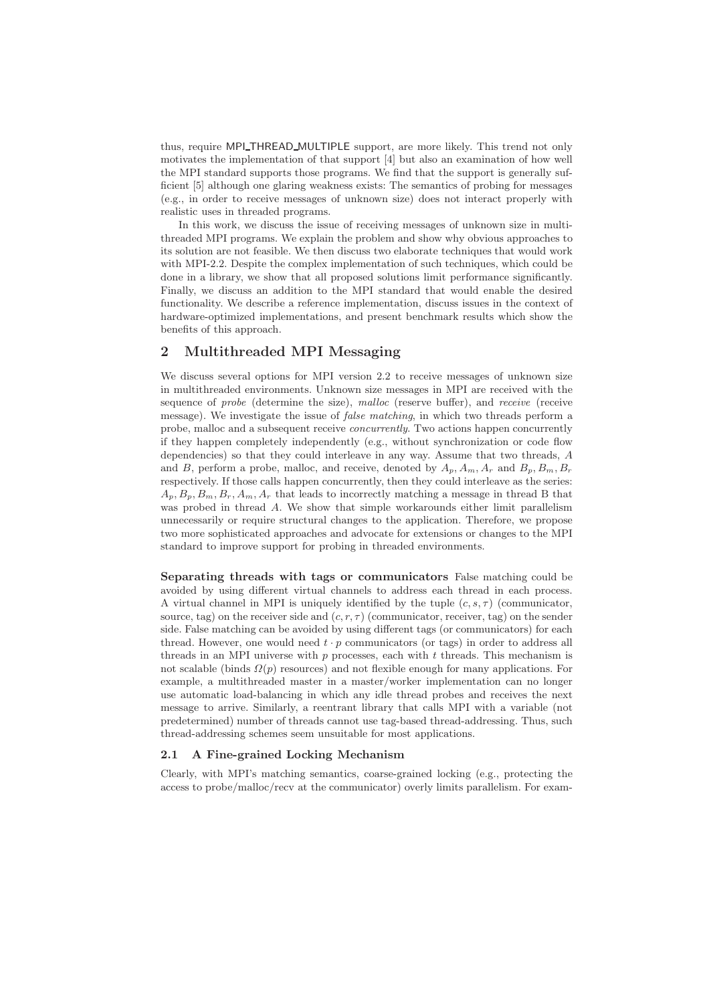thus, require MPI\_THREAD\_MULTIPLE support, are more likely. This trend not only motivates the implementation of that support [4] but also an examination of how well the MPI standard supports those programs. We find that the support is generally sufficient [5] although one glaring weakness exists: The semantics of probing for messages (e.g., in order to receive messages of unknown size) does not interact properly with realistic uses in threaded programs.

In this work, we discuss the issue of receiving messages of unknown size in multithreaded MPI programs. We explain the problem and show why obvious approaches to its solution are not feasible. We then discuss two elaborate techniques that would work with MPI-2.2. Despite the complex implementation of such techniques, which could be done in a library, we show that all proposed solutions limit performance significantly. Finally, we discuss an addition to the MPI standard that would enable the desired functionality. We describe a reference implementation, discuss issues in the context of hardware-optimized implementations, and present benchmark results which show the benefits of this approach.

# 2 Multithreaded MPI Messaging

We discuss several options for MPI version 2.2 to receive messages of unknown size in multithreaded environments. Unknown size messages in MPI are received with the sequence of *probe* (determine the size), malloc (reserve buffer), and *receive* (receive message). We investigate the issue of false matching, in which two threads perform a probe, malloc and a subsequent receive concurrently. Two actions happen concurrently if they happen completely independently (e.g., without synchronization or code flow dependencies) so that they could interleave in any way. Assume that two threads, A and B, perform a probe, malloc, and receive, denoted by  $A_n, A_m, A_r$  and  $B_n, B_m, B_r$ respectively. If those calls happen concurrently, then they could interleave as the series:  $A_n, B_n, B_m, B_r, A_m, A_r$  that leads to incorrectly matching a message in thread B that was probed in thread A. We show that simple workarounds either limit parallelism unnecessarily or require structural changes to the application. Therefore, we propose two more sophisticated approaches and advocate for extensions or changes to the MPI standard to improve support for probing in threaded environments.

Separating threads with tags or communicators False matching could be avoided by using different virtual channels to address each thread in each process. A virtual channel in MPI is uniquely identified by the tuple  $(c, s, \tau)$  (communicator, source, tag) on the receiver side and  $(c, r, \tau)$  (communicator, receiver, tag) on the sender side. False matching can be avoided by using different tags (or communicators) for each thread. However, one would need  $t \cdot p$  communicators (or tags) in order to address all threads in an MPI universe with  $p$  processes, each with  $t$  threads. This mechanism is not scalable (binds  $\Omega(p)$  resources) and not flexible enough for many applications. For example, a multithreaded master in a master/worker implementation can no longer use automatic load-balancing in which any idle thread probes and receives the next message to arrive. Similarly, a reentrant library that calls MPI with a variable (not predetermined) number of threads cannot use tag-based thread-addressing. Thus, such thread-addressing schemes seem unsuitable for most applications.

#### 2.1 A Fine-grained Locking Mechanism

Clearly, with MPI's matching semantics, coarse-grained locking (e.g., protecting the access to probe/malloc/recv at the communicator) overly limits parallelism. For exam-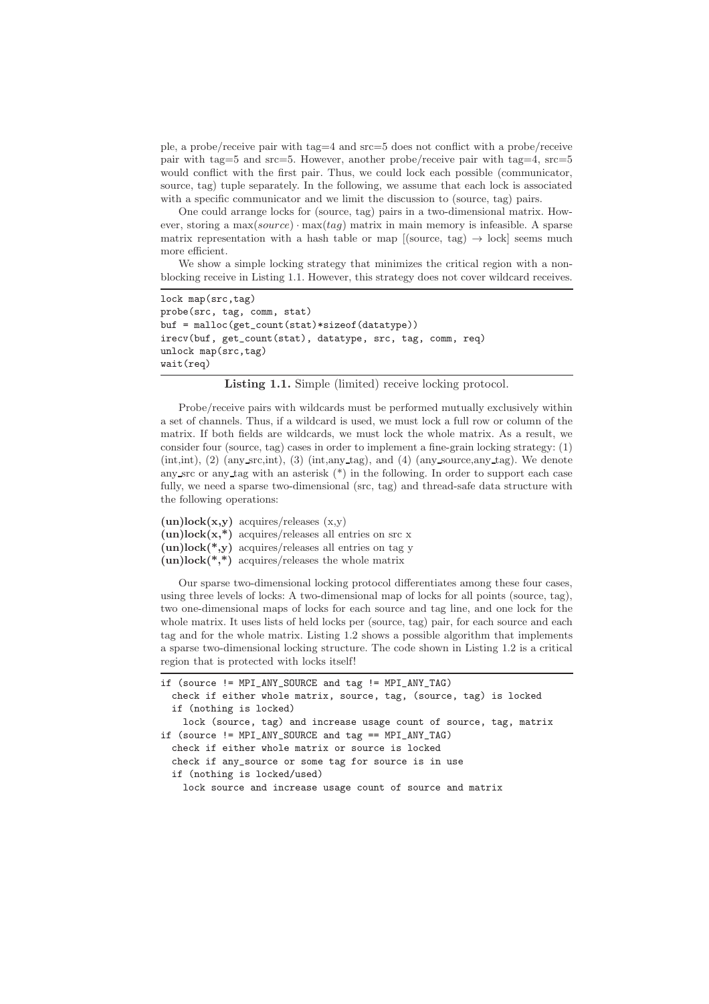ple, a probe/receive pair with tag=4 and src=5 does not conflict with a probe/receive pair with tag=5 and src=5. However, another probe/receive pair with tag=4,  $src=5$ would conflict with the first pair. Thus, we could lock each possible (communicator, source, tag) tuple separately. In the following, we assume that each lock is associated with a specific communicator and we limit the discussion to (source, tag) pairs.

One could arrange locks for (source, tag) pairs in a two-dimensional matrix. However, storing a  $max(source) \cdot max(tag)$  matrix in main memory is infeasible. A sparse matrix representation with a hash table or map  $[$ (source, tag)  $\rightarrow$  lock seems much more efficient.

We show a simple locking strategy that minimizes the critical region with a nonblocking receive in Listing 1.1. However, this strategy does not cover wildcard receives.

```
lock map(src,tag)
probe(src, tag, comm, stat)
buf = malloc(get_count(stat)*sizeof(datatype))
irecv(buf, get_count(stat), datatype, src, tag, comm, req)
unlock map(src,tag)
wait(req)
```
### Listing 1.1. Simple (limited) receive locking protocol.

Probe/receive pairs with wildcards must be performed mutually exclusively within a set of channels. Thus, if a wildcard is used, we must lock a full row or column of the matrix. If both fields are wildcards, we must lock the whole matrix. As a result, we consider four (source, tag) cases in order to implement a fine-grain locking strategy: (1) (int,int), (2) (any src,int), (3) (int,any tag), and (4) (any source,any tag). We denote any src or any tag with an asterisk (\*) in the following. In order to support each case fully, we need a sparse two-dimensional (src, tag) and thread-safe data structure with the following operations:

 $(\text{un})$ lock $(x,y)$  acquires/releases  $(x,y)$  $(\text{un})$ lock $(x,*)$  acquires/releases all entries on src x  $(\text{un})$ lock $(*,y)$  acquires/releases all entries on tag y  $(\text{un})$ lock $(*,*)$  acquires/releases the whole matrix

Our sparse two-dimensional locking protocol differentiates among these four cases, using three levels of locks: A two-dimensional map of locks for all points (source, tag), two one-dimensional maps of locks for each source and tag line, and one lock for the whole matrix. It uses lists of held locks per (source, tag) pair, for each source and each tag and for the whole matrix. Listing 1.2 shows a possible algorithm that implements a sparse two-dimensional locking structure. The code shown in Listing 1.2 is a critical region that is protected with locks itself!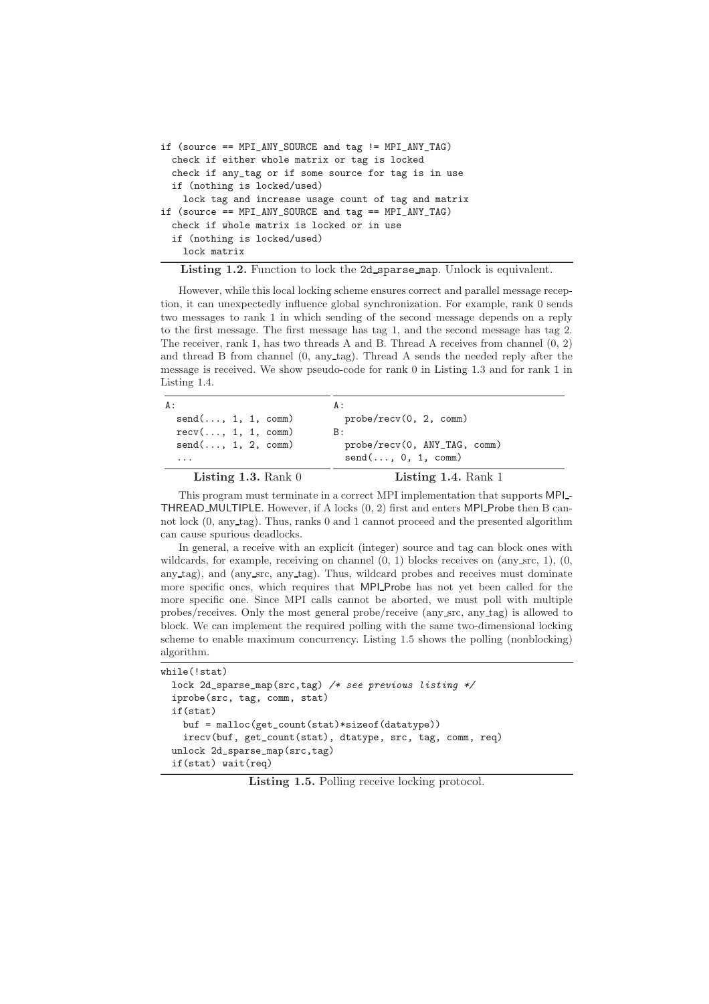```
if (source == MPI_ANY_SOURCE and tag != MPI_ANY_TAG)
 check if either whole matrix or tag is locked
 check if any_tag or if some source for tag is in use
 if (nothing is locked/used)
   lock tag and increase usage count of tag and matrix
if (source == MPI_ANY_SOURCE and tag == MPI_ANY_TAG)
 check if whole matrix is locked or in use
 if (nothing is locked/used)
   lock matrix
```
Listing 1.2. Function to lock the 2d\_sparse\_map. Unlock is equivalent.

However, while this local locking scheme ensures correct and parallel message reception, it can unexpectedly influence global synchronization. For example, rank 0 sends two messages to rank 1 in which sending of the second message depends on a reply to the first message. The first message has tag 1, and the second message has tag 2. The receiver, rank 1, has two threads A and B. Thread A receives from channel (0, 2) and thread B from channel (0, any tag). Thread A sends the needed reply after the message is received. We show pseudo-code for rank 0 in Listing 1.3 and for rank 1 in Listing 1.4.

| A :                        | A :                          |
|----------------------------|------------------------------|
| $send(\ldots, 1, 1, comm)$ | probe/recv(0, 2, comm)       |
| $recv(\ldots, 1, 1, comm)$ | B:                           |
| $send(\ldots, 1, 2, comm)$ | probe/recv(0, ANY_TAG, comm) |
| .                          | $send(\ldots, 0, 1, comm)$   |
| Listing 1.3. Rank $0$      | <b>Listing 1.4.</b> Rank 1   |

This program must terminate in a correct MPI implementation that supports MPI - **THREAD\_MULTIPLE.** However, if A locks  $(0, 2)$  first and enters MPI\_Probe then B cannot lock (0, any tag). Thus, ranks 0 and 1 cannot proceed and the presented algorithm can cause spurious deadlocks.

In general, a receive with an explicit (integer) source and tag can block ones with wildcards, for example, receiving on channel  $(0, 1)$  blocks receives on  $(\text{any src}, 1), (0, 1)$ any tag), and (any src, any tag). Thus, wildcard probes and receives must dominate more specific ones, which requires that MPI Probe has not yet been called for the more specific one. Since MPI calls cannot be aborted, we must poll with multiple probes/receives. Only the most general probe/receive (any src, any tag) is allowed to block. We can implement the required polling with the same two-dimensional locking scheme to enable maximum concurrency. Listing 1.5 shows the polling (nonblocking) algorithm.

```
while(!stat)
```

```
lock 2d_sparse_map(src,tag) /* see previous listing */
iprobe(src, tag, comm, stat)
if(stat)
  buf = malloc(get_count(stat)*sizeof(datatype))
  irecv(buf, get_count(stat), dtatype, src, tag, comm, req)
unlock 2d_sparse_map(src,tag)
if(stat) wait(req)
```
Listing 1.5. Polling receive locking protocol.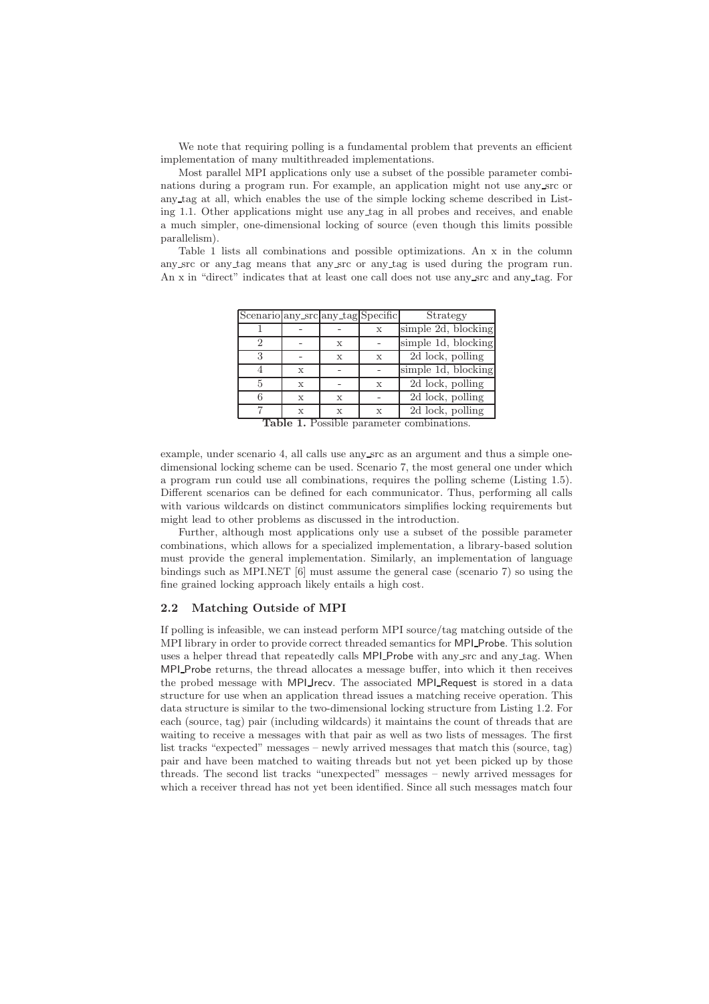We note that requiring polling is a fundamental problem that prevents an efficient implementation of many multithreaded implementations.

Most parallel MPI applications only use a subset of the possible parameter combinations during a program run. For example, an application might not use any src or any tag at all, which enables the use of the simple locking scheme described in Listing 1.1. Other applications might use any tag in all probes and receives, and enable a much simpler, one-dimensional locking of source (even though this limits possible parallelism).

Table 1 lists all combinations and possible optimizations. An x in the column any src or any tag means that any src or any tag is used during the program run. An x in "direct" indicates that at least one call does not use any src and any tag. For

| Scenario any src any tag Specific |             |             |             | Strategy                     |
|-----------------------------------|-------------|-------------|-------------|------------------------------|
|                                   |             |             | X           | simple 2d, blocking          |
| 2                                 |             | $\mathbf x$ |             | simple 1d, blocking          |
|                                   |             | X           | $\mathbf x$ | 2d lock, polling             |
|                                   | X           |             |             | simple 1d, blocking          |
| 5                                 | $\mathbf x$ |             | X           | 2d lock, polling             |
|                                   | $\mathbf x$ | $\mathbf x$ |             | 2d lock, polling             |
|                                   | X           | X           | Х           | 2d lock, polling<br>$\cdots$ |

Table 1. Possible parameter combinations.

example, under scenario 4, all calls use any src as an argument and thus a simple onedimensional locking scheme can be used. Scenario 7, the most general one under which a program run could use all combinations, requires the polling scheme (Listing 1.5). Different scenarios can be defined for each communicator. Thus, performing all calls with various wildcards on distinct communicators simplifies locking requirements but might lead to other problems as discussed in the introduction.

Further, although most applications only use a subset of the possible parameter combinations, which allows for a specialized implementation, a library-based solution must provide the general implementation. Similarly, an implementation of language bindings such as MPI.NET [6] must assume the general case (scenario 7) so using the fine grained locking approach likely entails a high cost.

### 2.2 Matching Outside of MPI

If polling is infeasible, we can instead perform MPI source/tag matching outside of the MPI library in order to provide correct threaded semantics for MPI Probe. This solution uses a helper thread that repeatedly calls MPI Probe with any src and any tag. When MPI Probe returns, the thread allocates a message buffer, into which it then receives the probed message with MPI Irecv. The associated MPI Request is stored in a data structure for use when an application thread issues a matching receive operation. This data structure is similar to the two-dimensional locking structure from Listing 1.2. For each (source, tag) pair (including wildcards) it maintains the count of threads that are waiting to receive a messages with that pair as well as two lists of messages. The first list tracks "expected" messages – newly arrived messages that match this (source, tag) pair and have been matched to waiting threads but not yet been picked up by those threads. The second list tracks "unexpected" messages – newly arrived messages for which a receiver thread has not yet been identified. Since all such messages match four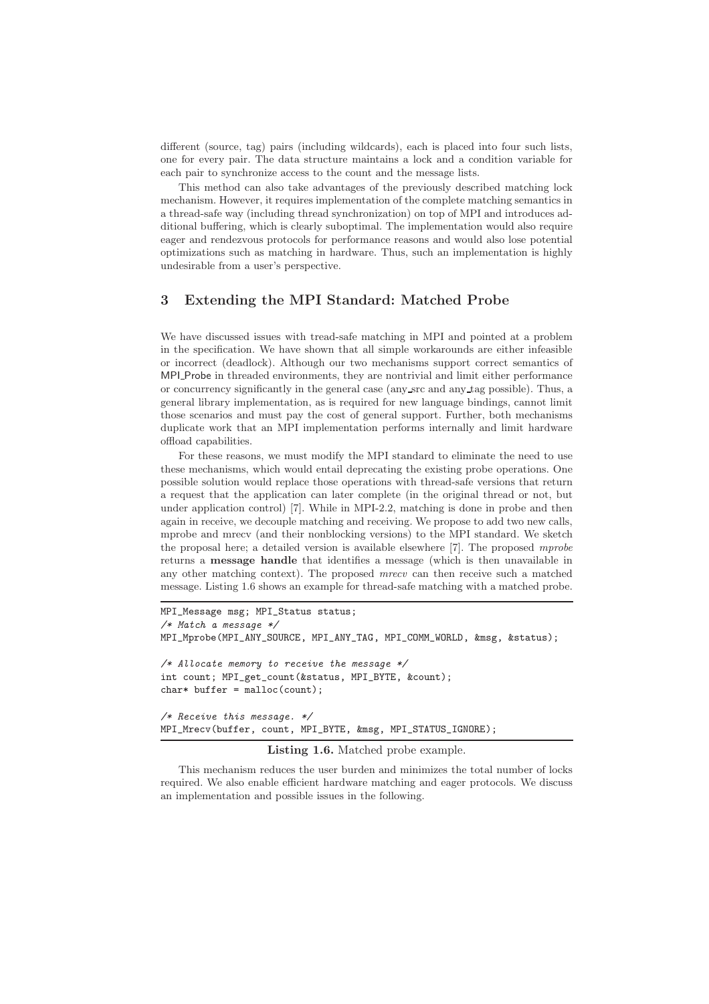different (source, tag) pairs (including wildcards), each is placed into four such lists, one for every pair. The data structure maintains a lock and a condition variable for each pair to synchronize access to the count and the message lists.

This method can also take advantages of the previously described matching lock mechanism. However, it requires implementation of the complete matching semantics in a thread-safe way (including thread synchronization) on top of MPI and introduces additional buffering, which is clearly suboptimal. The implementation would also require eager and rendezvous protocols for performance reasons and would also lose potential optimizations such as matching in hardware. Thus, such an implementation is highly undesirable from a user's perspective.

# 3 Extending the MPI Standard: Matched Probe

We have discussed issues with tread-safe matching in MPI and pointed at a problem in the specification. We have shown that all simple workarounds are either infeasible or incorrect (deadlock). Although our two mechanisms support correct semantics of MPI Probe in threaded environments, they are nontrivial and limit either performance or concurrency significantly in the general case (any src and any tag possible). Thus, a general library implementation, as is required for new language bindings, cannot limit those scenarios and must pay the cost of general support. Further, both mechanisms duplicate work that an MPI implementation performs internally and limit hardware offload capabilities.

For these reasons, we must modify the MPI standard to eliminate the need to use these mechanisms, which would entail deprecating the existing probe operations. One possible solution would replace those operations with thread-safe versions that return a request that the application can later complete (in the original thread or not, but under application control) [7]. While in MPI-2.2, matching is done in probe and then again in receive, we decouple matching and receiving. We propose to add two new calls, mprobe and mrecv (and their nonblocking versions) to the MPI standard. We sketch the proposal here; a detailed version is available elsewhere [7]. The proposed mprobe returns a message handle that identifies a message (which is then unavailable in any other matching context). The proposed mrecv can then receive such a matched message. Listing 1.6 shows an example for thread-safe matching with a matched probe.

```
MPI_Message msg; MPI_Status status;
/* Match a message */
MPI_Mprobe(MPI_ANY_SOURCE, MPI_ANY_TAG, MPI_COMM_WORLD, &msg, &status);
/* Allocate memory to receive the message */int count; MPI_get_count(&status, MPI_BYTE, &count);
char* buffer = malloc(count);
/* Receive this message. */
MPI_Mrecv(buffer, count, MPI_BYTE, &msg, MPI_STATUS_IGNORE);
```
Listing 1.6. Matched probe example.

This mechanism reduces the user burden and minimizes the total number of locks required. We also enable efficient hardware matching and eager protocols. We discuss an implementation and possible issues in the following.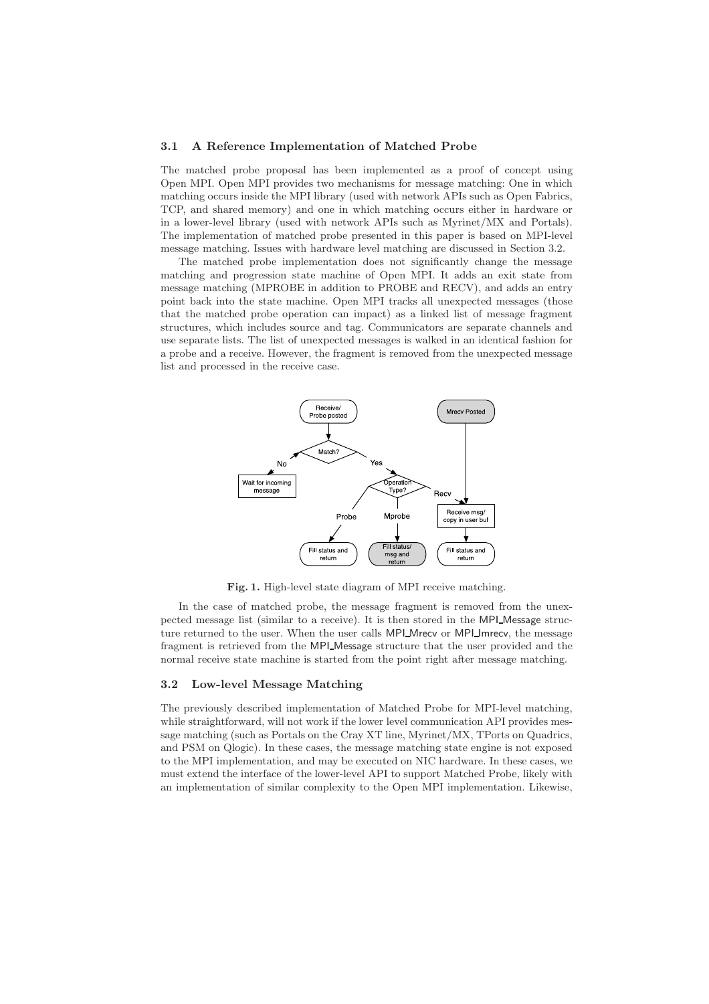#### 3.1 A Reference Implementation of Matched Probe

The matched probe proposal has been implemented as a proof of concept using Open MPI. Open MPI provides two mechanisms for message matching: One in which matching occurs inside the MPI library (used with network APIs such as Open Fabrics, TCP, and shared memory) and one in which matching occurs either in hardware or in a lower-level library (used with network APIs such as Myrinet/MX and Portals). The implementation of matched probe presented in this paper is based on MPI-level message matching. Issues with hardware level matching are discussed in Section 3.2.

The matched probe implementation does not significantly change the message matching and progression state machine of Open MPI. It adds an exit state from message matching (MPROBE in addition to PROBE and RECV), and adds an entry point back into the state machine. Open MPI tracks all unexpected messages (those that the matched probe operation can impact) as a linked list of message fragment structures, which includes source and tag. Communicators are separate channels and use separate lists. The list of unexpected messages is walked in an identical fashion for a probe and a receive. However, the fragment is removed from the unexpected message list and processed in the receive case.



Fig. 1. High-level state diagram of MPI receive matching.

In the case of matched probe, the message fragment is removed from the unexpected message list (similar to a receive). It is then stored in the MPI Message structure returned to the user. When the user calls MPI\_Mrecv or MPI\_Imrecv, the message fragment is retrieved from the MPI Message structure that the user provided and the normal receive state machine is started from the point right after message matching.

#### 3.2 Low-level Message Matching

The previously described implementation of Matched Probe for MPI-level matching, while straightforward, will not work if the lower level communication API provides message matching (such as Portals on the Cray XT line, Myrinet/MX, TPorts on Quadrics, and PSM on Qlogic). In these cases, the message matching state engine is not exposed to the MPI implementation, and may be executed on NIC hardware. In these cases, we must extend the interface of the lower-level API to support Matched Probe, likely with an implementation of similar complexity to the Open MPI implementation. Likewise,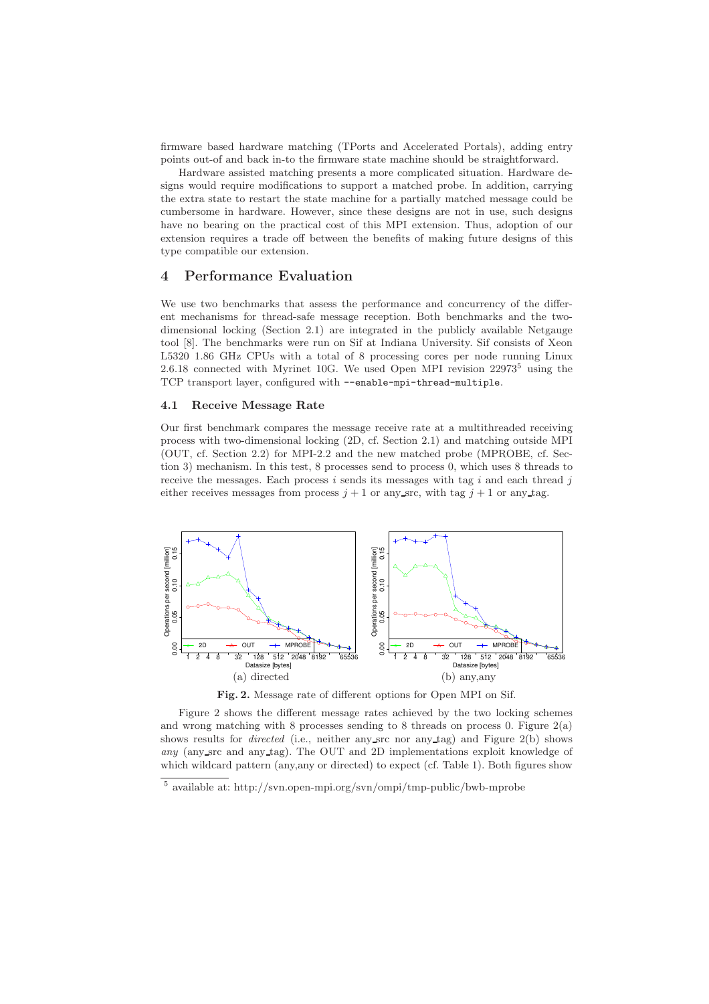firmware based hardware matching (TPorts and Accelerated Portals), adding entry points out-of and back in-to the firmware state machine should be straightforward.

Hardware assisted matching presents a more complicated situation. Hardware designs would require modifications to support a matched probe. In addition, carrying the extra state to restart the state machine for a partially matched message could be cumbersome in hardware. However, since these designs are not in use, such designs have no bearing on the practical cost of this MPI extension. Thus, adoption of our extension requires a trade off between the benefits of making future designs of this type compatible our extension.

# 4 Performance Evaluation

We use two benchmarks that assess the performance and concurrency of the different mechanisms for thread-safe message reception. Both benchmarks and the twodimensional locking (Section 2.1) are integrated in the publicly available Netgauge tool [8]. The benchmarks were run on Sif at Indiana University. Sif consists of Xeon L5320 1.86 GHz CPUs with a total of 8 processing cores per node running Linux  $2.6.18$  connected with Myrinet 10G. We used Open MPI revision  $22973^5$  using the TCP transport layer, configured with --enable-mpi-thread-multiple.

### 4.1 Receive Message Rate

Our first benchmark compares the message receive rate at a multithreaded receiving process with two-dimensional locking (2D, cf. Section 2.1) and matching outside MPI (OUT, cf. Section 2.2) for MPI-2.2 and the new matched probe (MPROBE, cf. Section 3) mechanism. In this test, 8 processes send to process 0, which uses 8 threads to receive the messages. Each process  $i$  sends its messages with tag  $i$  and each thread  $j$ either receives messages from process  $j + 1$  or any src, with tag  $j + 1$  or any tag.



Fig. 2. Message rate of different options for Open MPI on Sif.

Figure 2 shows the different message rates achieved by the two locking schemes and wrong matching with 8 processes sending to 8 threads on process 0. Figure  $2(a)$ shows results for *directed* (i.e., neither any  $\text{src}$  nor any  $\text{tag}$ ) and Figure 2(b) shows any (any src and any tag). The OUT and 2D implementations exploit knowledge of which wildcard pattern (any, any or directed) to expect (cf. Table 1). Both figures show

<sup>5</sup> available at: http://svn.open-mpi.org/svn/ompi/tmp-public/bwb-mprobe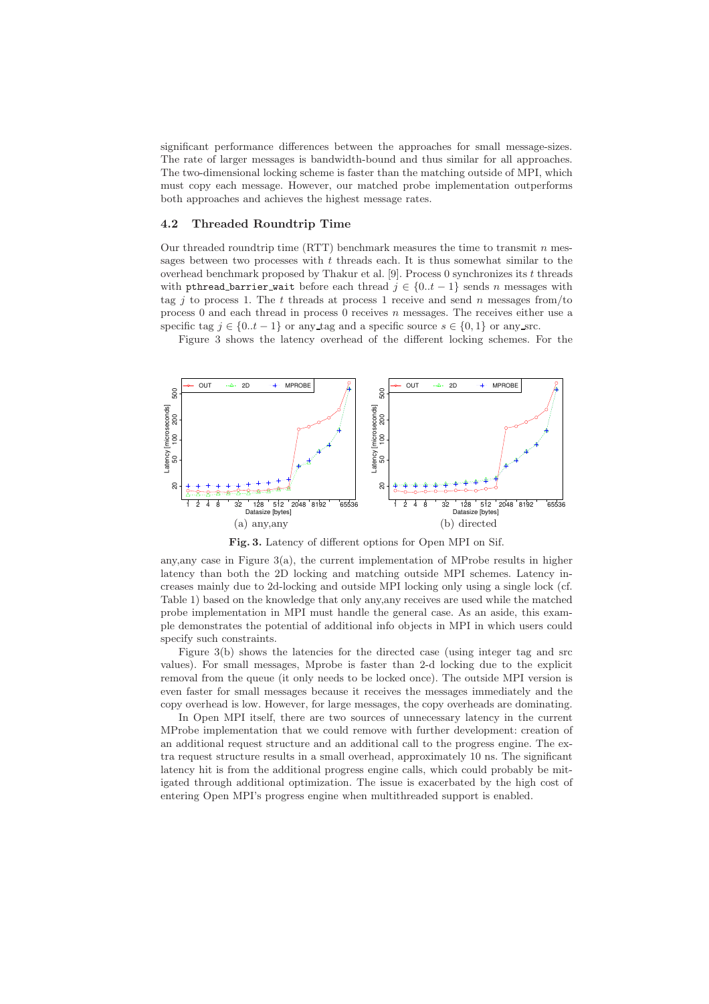significant performance differences between the approaches for small message-sizes. The rate of larger messages is bandwidth-bound and thus similar for all approaches. The two-dimensional locking scheme is faster than the matching outside of MPI, which must copy each message. However, our matched probe implementation outperforms both approaches and achieves the highest message rates.

### 4.2 Threaded Roundtrip Time

Our threaded roundtrip time (RTT) benchmark measures the time to transmit  $n$  messages between two processes with  $t$  threads each. It is thus somewhat similar to the overhead benchmark proposed by Thakur et al. [9]. Process 0 synchronizes its  $t$  threads with pthread barrier wait before each thread  $j \in \{0..t-1\}$  sends n messages with tag j to process 1. The t threads at process 1 receive and send n messages from/to process 0 and each thread in process 0 receives  $n$  messages. The receives either use a specific tag  $j \in \{0..t-1\}$  or any tag and a specific source  $s \in \{0,1\}$  or any src.

Figure 3 shows the latency overhead of the different locking schemes. For the



Fig. 3. Latency of different options for Open MPI on Sif.

any, any case in Figure  $3(a)$ , the current implementation of MProbe results in higher latency than both the 2D locking and matching outside MPI schemes. Latency increases mainly due to 2d-locking and outside MPI locking only using a single lock (cf. Table 1) based on the knowledge that only any,any receives are used while the matched probe implementation in MPI must handle the general case. As an aside, this example demonstrates the potential of additional info objects in MPI in which users could specify such constraints.

Figure 3(b) shows the latencies for the directed case (using integer tag and src values). For small messages, Mprobe is faster than 2-d locking due to the explicit removal from the queue (it only needs to be locked once). The outside MPI version is even faster for small messages because it receives the messages immediately and the copy overhead is low. However, for large messages, the copy overheads are dominating.

In Open MPI itself, there are two sources of unnecessary latency in the current MProbe implementation that we could remove with further development: creation of an additional request structure and an additional call to the progress engine. The extra request structure results in a small overhead, approximately 10 ns. The significant latency hit is from the additional progress engine calls, which could probably be mitigated through additional optimization. The issue is exacerbated by the high cost of entering Open MPI's progress engine when multithreaded support is enabled.